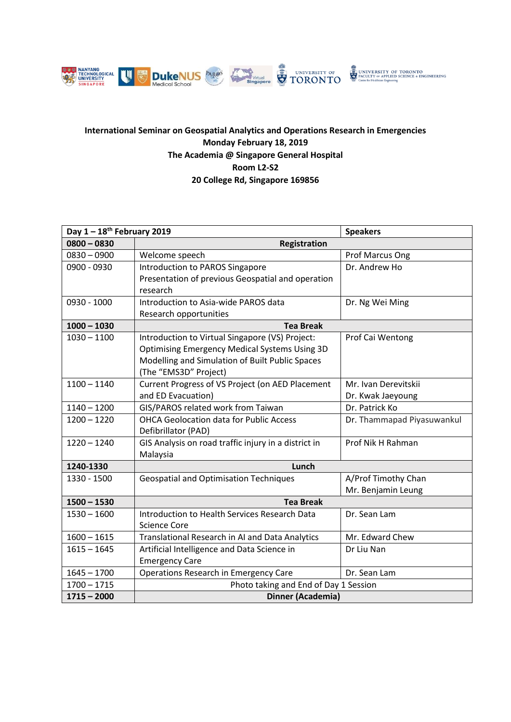

## **International Seminar on Geospatial Analytics and Operations Research in Emergencies Monday February 18, 2019 The Academia @ Singapore General Hospital Room L2-S2 20 College Rd, Singapore 169856**

| Day $1-18^{th}$ February 2019 |                                                      | <b>Speakers</b>            |  |
|-------------------------------|------------------------------------------------------|----------------------------|--|
| $0800 - 0830$                 | <b>Registration</b>                                  |                            |  |
| $0830 - 0900$                 | Welcome speech                                       | Prof Marcus Ong            |  |
| 0900 - 0930                   | Introduction to PAROS Singapore                      | Dr. Andrew Ho              |  |
|                               | Presentation of previous Geospatial and operation    |                            |  |
|                               | research                                             |                            |  |
| 0930 - 1000                   | Introduction to Asia-wide PAROS data                 | Dr. Ng Wei Ming            |  |
|                               | Research opportunities                               |                            |  |
| $1000 - 1030$                 | <b>Tea Break</b>                                     |                            |  |
| $1030 - 1100$                 | Introduction to Virtual Singapore (VS) Project:      | Prof Cai Wentong           |  |
|                               | <b>Optimising Emergency Medical Systems Using 3D</b> |                            |  |
|                               | Modelling and Simulation of Built Public Spaces      |                            |  |
|                               | (The "EMS3D" Project)                                |                            |  |
| $1100 - 1140$                 | Current Progress of VS Project (on AED Placement     | Mr. Ivan Derevitskii       |  |
|                               | and ED Evacuation)                                   | Dr. Kwak Jaeyoung          |  |
| $1140 - 1200$                 | GIS/PAROS related work from Taiwan                   | Dr. Patrick Ko             |  |
| $1200 - 1220$                 | <b>OHCA Geolocation data for Public Access</b>       | Dr. Thammapad Piyasuwankul |  |
|                               | Defibrillator (PAD)                                  |                            |  |
| $1220 - 1240$                 | GIS Analysis on road traffic injury in a district in | Prof Nik H Rahman          |  |
|                               | Malaysia                                             |                            |  |
| 1240-1330                     | Lunch                                                |                            |  |
| 1330 - 1500                   | <b>Geospatial and Optimisation Techniques</b>        | A/Prof Timothy Chan        |  |
|                               |                                                      | Mr. Benjamin Leung         |  |
| $1500 - 1530$                 | <b>Tea Break</b>                                     |                            |  |
| $1530 - 1600$                 | Introduction to Health Services Research Data        | Dr. Sean Lam               |  |
|                               | <b>Science Core</b>                                  |                            |  |
| $1600 - 1615$                 | Translational Research in AI and Data Analytics      | Mr. Edward Chew            |  |
| $1615 - 1645$                 | Artificial Intelligence and Data Science in          | Dr Liu Nan                 |  |
|                               | <b>Emergency Care</b>                                |                            |  |
| $1645 - 1700$                 | Operations Research in Emergency Care                | Dr. Sean Lam               |  |
| $1700 - 1715$                 | Photo taking and End of Day 1 Session                |                            |  |
| $1715 - 2000$                 | Dinner (Academia)                                    |                            |  |